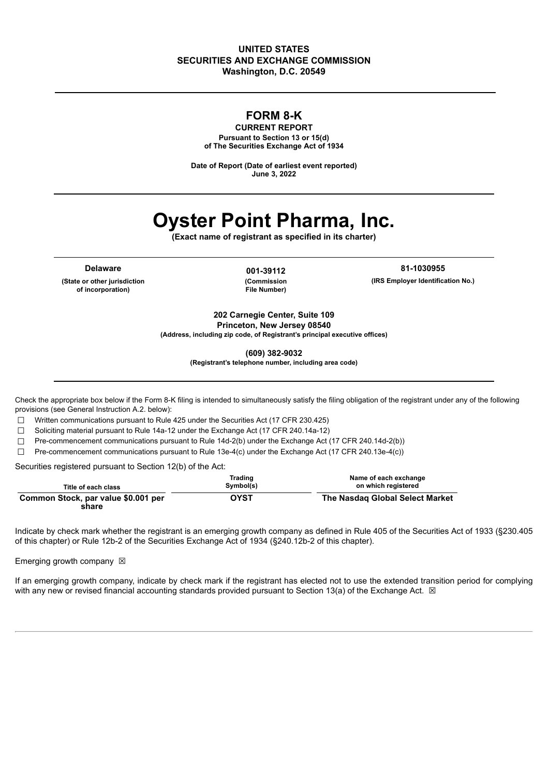### **UNITED STATES SECURITIES AND EXCHANGE COMMISSION Washington, D.C. 20549**

# **FORM 8-K**

**CURRENT REPORT Pursuant to Section 13 or 15(d) of The Securities Exchange Act of 1934**

**Date of Report (Date of earliest event reported) June 3, 2022**

# **Oyster Point Pharma, Inc.**

**(Exact name of registrant as specified in its charter)**

**Delaware 001-39112**

**(State or other jurisdiction of incorporation)**

**(Commission File Number)**

**81-1030955 (IRS Employer Identification No.)**

**202 Carnegie Center, Suite 109 Princeton, New Jersey 08540**

**(Address, including zip code, of Registrant's principal executive offices)**

**(609) 382-9032**

**(Registrant's telephone number, including area code)**

Check the appropriate box below if the Form 8-K filing is intended to simultaneously satisfy the filing obligation of the registrant under any of the following provisions (see General Instruction A.2. below):

☐ Written communications pursuant to Rule 425 under the Securities Act (17 CFR 230.425)

☐ Soliciting material pursuant to Rule 14a-12 under the Exchange Act (17 CFR 240.14a-12)

☐ Pre-commencement communications pursuant to Rule 14d-2(b) under the Exchange Act (17 CFR 240.14d-2(b))

☐ Pre-commencement communications pursuant to Rule 13e-4(c) under the Exchange Act (17 CFR 240.13e-4(c))

Securities registered pursuant to Section 12(b) of the Act:

| Title of each class                          | Trading<br>Symbol(s) | Name of each exchange<br>on which registered |
|----------------------------------------------|----------------------|----------------------------------------------|
| Common Stock, par value \$0.001 per<br>share | <b>OYST</b>          | The Nasdag Global Select Market              |

Indicate by check mark whether the registrant is an emerging growth company as defined in Rule 405 of the Securities Act of 1933 (§230.405 of this chapter) or Rule 12b-2 of the Securities Exchange Act of 1934 (§240.12b-2 of this chapter).

Emerging growth company  $\boxtimes$ 

If an emerging growth company, indicate by check mark if the registrant has elected not to use the extended transition period for complying with any new or revised financial accounting standards provided pursuant to Section 13(a) of the Exchange Act.  $\boxtimes$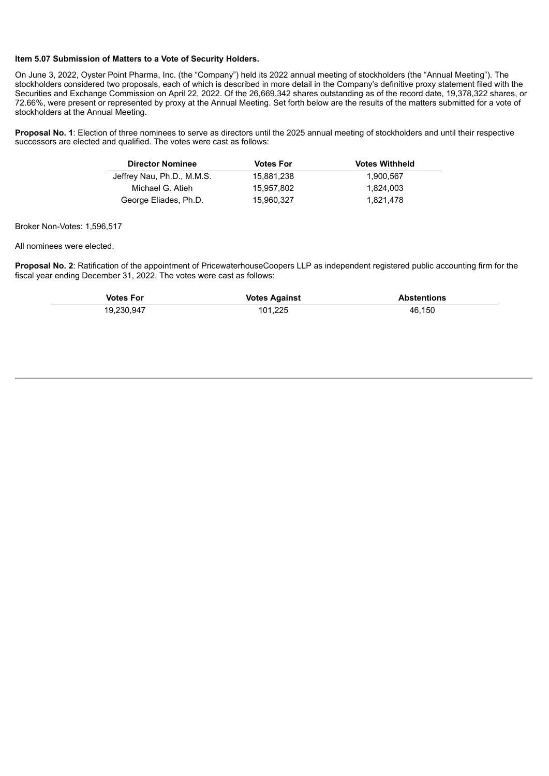#### **Item 5.07 Submission of Matters to a Vote of Security Holders.**

On June 3, 2022, Oyster Point Pharma, Inc. (the "Company") held its 2022 annual meeting of stockholders (the "Annual Meeting"). The stockholders considered two proposals, each of which is described in more detail in the Company's definitive proxy statement filed with the Securities and Exchange Commission on April 22, 2022. Of the 26,669,342 shares outstanding as of the record date, 19,378,322 shares, or 72.66%, were present or represented by proxy at the Annual Meeting. Set forth below are the results of the matters submitted for a vote of stockholders at the Annual Meeting.

**Proposal No. 1**: Election of three nominees to serve as directors until the 2025 annual meeting of stockholders and until their respective successors are elected and qualified. The votes were cast as follows:

| <b>Director Nominee</b>    | <b>Votes For</b> | <b>Votes Withheld</b> |
|----------------------------|------------------|-----------------------|
| Jeffrey Nau, Ph.D., M.M.S. | 15.881.238       | 1.900.567             |
| Michael G. Atieh           | 15.957.802       | 1,824,003             |
| George Eliades, Ph.D.      | 15.960.327       | 1,821,478             |

Broker Non-Votes: 1,596,517

All nominees were elected.

**Proposal No. 2**: Ratification of the appointment of PricewaterhouseCoopers LLP as independent registered public accounting firm for the fiscal year ending December 31, 2022. The votes were cast as follows:

| <b>Votes For</b> | <b>Votes Against</b> | <b>Abstentions</b> |
|------------------|----------------------|--------------------|
| 19.230.947       | 101,225              | 46.150             |